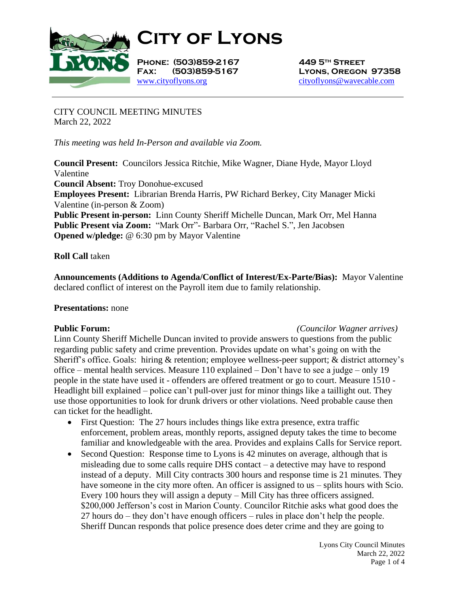

**City of Lyons**

**Phone: (503)859-2167 449 5th Street** [www.cityoflyons.org](http://www.cityoflyons.org/) [cityoflyons@wavecable.com](mailto:cityoflyons@wavecable.com)

**Fax: (503)859-5167 Lyons, Oregon 97358**

CITY COUNCIL MEETING MINUTES March 22, 2022

*This meeting was held In-Person and available via Zoom.*

**Council Present:** Councilors Jessica Ritchie, Mike Wagner, Diane Hyde, Mayor Lloyd Valentine **Council Absent:** Troy Donohue-excused **Employees Present:** Librarian Brenda Harris, PW Richard Berkey, City Manager Micki Valentine (in-person & Zoom) **Public Present in-person:** Linn County Sheriff Michelle Duncan, Mark Orr, Mel Hanna **Public Present via Zoom:** "Mark Orr"- Barbara Orr, "Rachel S.", Jen Jacobsen **Opened w/pledge:** @ 6:30 pm by Mayor Valentine

**Roll Call** taken

**Announcements (Additions to Agenda/Conflict of Interest/Ex-Parte/Bias):** Mayor Valentine declared conflict of interest on the Payroll item due to family relationship.

## **Presentations:** none

#### **Public Forum:** *(Councilor Wagner arrives)*

Linn County Sheriff Michelle Duncan invited to provide answers to questions from the public regarding public safety and crime prevention. Provides update on what's going on with the Sheriff's office. Goals: hiring & retention; employee wellness-peer support; & district attorney's office – mental health services. Measure 110 explained – Don't have to see a judge – only 19 people in the state have used it - offenders are offered treatment or go to court. Measure 1510 - Headlight bill explained – police can't pull-over just for minor things like a taillight out. They use those opportunities to look for drunk drivers or other violations. Need probable cause then can ticket for the headlight.

- First Question: The 27 hours includes things like extra presence, extra traffic enforcement, problem areas, monthly reports, assigned deputy takes the time to become familiar and knowledgeable with the area. Provides and explains Calls for Service report.
- Second Question: Response time to Lyons is 42 minutes on average, although that is misleading due to some calls require DHS contact – a detective may have to respond instead of a deputy. Mill City contracts 300 hours and response time is 21 minutes. They have someone in the city more often. An officer is assigned to us – splits hours with Scio. Every 100 hours they will assign a deputy – Mill City has three officers assigned. \$200,000 Jefferson's cost in Marion County. Councilor Ritchie asks what good does the 27 hours do – they don't have enough officers – rules in place don't help the people. Sheriff Duncan responds that police presence does deter crime and they are going to

Lyons City Council Minutes March 22, 2022 Page 1 of 4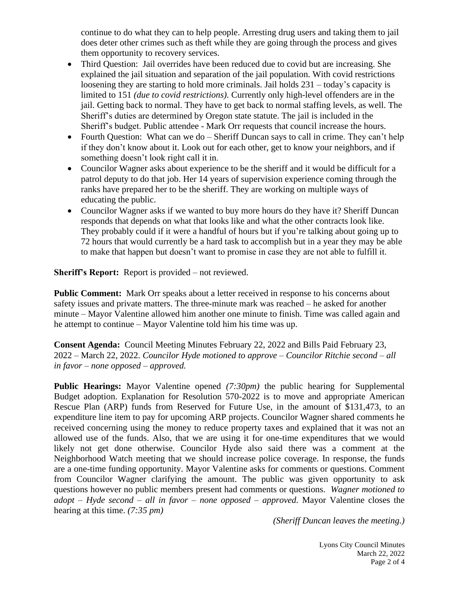continue to do what they can to help people. Arresting drug users and taking them to jail does deter other crimes such as theft while they are going through the process and gives them opportunity to recovery services.

- Third Question: Jail overrides have been reduced due to covid but are increasing. She explained the jail situation and separation of the jail population. With covid restrictions loosening they are starting to hold more criminals. Jail holds 231 – today's capacity is limited to 151 *(due to covid restrictions).* Currently only high-level offenders are in the jail. Getting back to normal. They have to get back to normal staffing levels, as well. The Sheriff's duties are determined by Oregon state statute. The jail is included in the Sheriff's budget. Public attendee - Mark Orr requests that council increase the hours.
- Fourth Question: What can we do Sheriff Duncan says to call in crime. They can't help if they don't know about it. Look out for each other, get to know your neighbors, and if something doesn't look right call it in.
- Councilor Wagner asks about experience to be the sheriff and it would be difficult for a patrol deputy to do that job. Her 14 years of supervision experience coming through the ranks have prepared her to be the sheriff. They are working on multiple ways of educating the public.
- Councilor Wagner asks if we wanted to buy more hours do they have it? Sheriff Duncan responds that depends on what that looks like and what the other contracts look like. They probably could if it were a handful of hours but if you're talking about going up to 72 hours that would currently be a hard task to accomplish but in a year they may be able to make that happen but doesn't want to promise in case they are not able to fulfill it.

**Sheriff's Report:** Report is provided – not reviewed.

**Public Comment:** Mark Orr speaks about a letter received in response to his concerns about safety issues and private matters. The three-minute mark was reached – he asked for another minute – Mayor Valentine allowed him another one minute to finish. Time was called again and he attempt to continue – Mayor Valentine told him his time was up.

**Consent Agenda:** Council Meeting Minutes February 22, 2022 and Bills Paid February 23, 2022 – March 22, 2022. *Councilor Hyde motioned to approve – Councilor Ritchie second – all in favor – none opposed – approved.* 

**Public Hearings:** Mayor Valentine opened *(7:30pm)* the public hearing for Supplemental Budget adoption. Explanation for Resolution 570-2022 is to move and appropriate American Rescue Plan (ARP) funds from Reserved for Future Use, in the amount of \$131,473, to an expenditure line item to pay for upcoming ARP projects. Councilor Wagner shared comments he received concerning using the money to reduce property taxes and explained that it was not an allowed use of the funds. Also, that we are using it for one-time expenditures that we would likely not get done otherwise. Councilor Hyde also said there was a comment at the Neighborhood Watch meeting that we should increase police coverage. In response, the funds are a one-time funding opportunity. Mayor Valentine asks for comments or questions. Comment from Councilor Wagner clarifying the amount. The public was given opportunity to ask questions however no public members present had comments or questions. *Wagner motioned to adopt – Hyde second – all in favor – none opposed – approved.* Mayor Valentine closes the hearing at this time. *(7:35 pm)*

*(Sheriff Duncan leaves the meeting.)*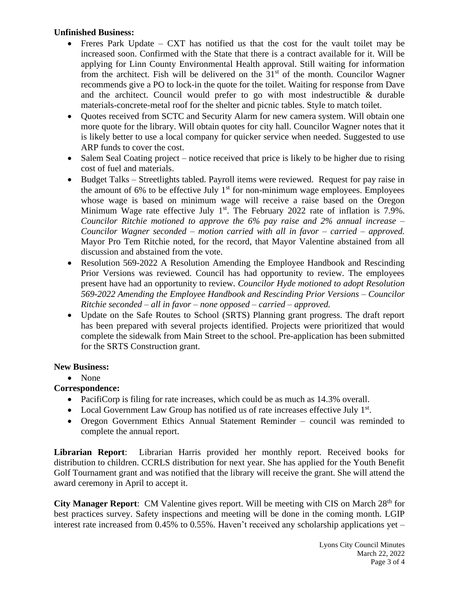# **Unfinished Business:**

- Freres Park Update CXT has notified us that the cost for the vault toilet may be increased soon. Confirmed with the State that there is a contract available for it. Will be applying for Linn County Environmental Health approval. Still waiting for information from the architect. Fish will be delivered on the  $31<sup>st</sup>$  of the month. Councilor Wagner recommends give a PO to lock-in the quote for the toilet. Waiting for response from Dave and the architect. Council would prefer to go with most indestructible & durable materials-concrete-metal roof for the shelter and picnic tables. Style to match toilet.
- Ouotes received from SCTC and Security Alarm for new camera system. Will obtain one more quote for the library. Will obtain quotes for city hall. Councilor Wagner notes that it is likely better to use a local company for quicker service when needed. Suggested to use ARP funds to cover the cost.
- Salem Seal Coating project notice received that price is likely to be higher due to rising cost of fuel and materials.
- Budget Talks Streetlights tabled. Payroll items were reviewed. Request for pay raise in the amount of 6% to be effective July  $1<sup>st</sup>$  for non-minimum wage employees. Employees whose wage is based on minimum wage will receive a raise based on the Oregon Minimum Wage rate effective July  $1<sup>st</sup>$ . The February 2022 rate of inflation is 7.9%. *Councilor Ritchie motioned to approve the 6% pay raise and 2% annual increase – Councilor Wagner seconded – motion carried with all in favor – carried – approved.*  Mayor Pro Tem Ritchie noted, for the record, that Mayor Valentine abstained from all discussion and abstained from the vote.
- Resolution 569-2022 A Resolution Amending the Employee Handbook and Rescinding Prior Versions was reviewed. Council has had opportunity to review. The employees present have had an opportunity to review. *Councilor Hyde motioned to adopt Resolution 569-2022 Amending the Employee Handbook and Rescinding Prior Versions – Councilor Ritchie seconded – all in favor – none opposed – carried – approved.*
- Update on the Safe Routes to School (SRTS) Planning grant progress. The draft report has been prepared with several projects identified. Projects were prioritized that would complete the sidewalk from Main Street to the school. Pre-application has been submitted for the SRTS Construction grant.

# **New Business:**

• None

# **Correspondence:**

- PacifiCorp is filing for rate increases, which could be as much as 14.3% overall.
- Local Government Law Group has notified us of rate increases effective July 1<sup>st</sup>.
- Oregon Government Ethics Annual Statement Reminder council was reminded to complete the annual report.

**Librarian Report**: Librarian Harris provided her monthly report. Received books for distribution to children. CCRLS distribution for next year. She has applied for the Youth Benefit Golf Tournament grant and was notified that the library will receive the grant. She will attend the award ceremony in April to accept it.

**City Manager Report:** CM Valentine gives report. Will be meeting with CIS on March 28<sup>th</sup> for best practices survey. Safety inspections and meeting will be done in the coming month. LGIP interest rate increased from  $0.45\%$  to  $0.55\%$ . Haven't received any scholarship applications yet –